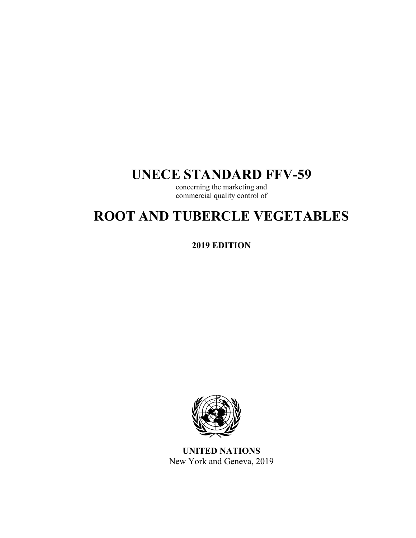# **UNECE STANDARD FFV-59**

concerning the marketing and commercial quality control of

# **ROOT AND TUBERCLE VEGETABLES**

**2019 EDITION** 



**UNITED NATIONS**  New York and Geneva, 2019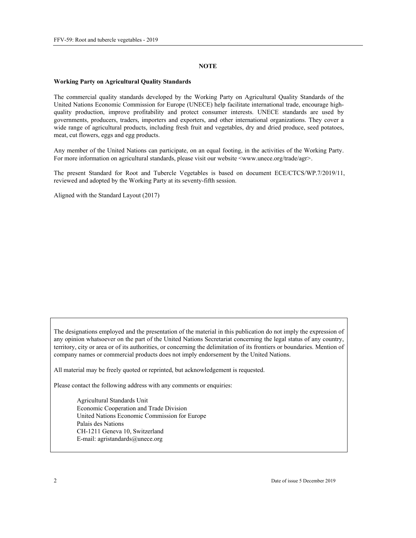#### **NOTE**

#### **Working Party on Agricultural Quality Standards**

The commercial quality standards developed by the Working Party on Agricultural Quality Standards of the United Nations Economic Commission for Europe (UNECE) help facilitate international trade, encourage highquality production, improve profitability and protect consumer interests. UNECE standards are used by governments, producers, traders, importers and exporters, and other international organizations. They cover a wide range of agricultural products, including fresh fruit and vegetables, dry and dried produce, seed potatoes, meat, cut flowers, eggs and egg products.

Any member of the United Nations can participate, on an equal footing, in the activities of the Working Party. For more information on agricultural standards, please visit our website <www.unece.org/trade/agr>.

The present Standard for Root and Tubercle Vegetables is based on document ECE/CTCS/WP.7/2019/11, reviewed and adopted by the Working Party at its seventy-fifth session.

Aligned with the Standard Layout (2017)

The designations employed and the presentation of the material in this publication do not imply the expression of any opinion whatsoever on the part of the United Nations Secretariat concerning the legal status of any country, territory, city or area or of its authorities, or concerning the delimitation of its frontiers or boundaries. Mention of company names or commercial products does not imply endorsement by the United Nations.

All material may be freely quoted or reprinted, but acknowledgement is requested.

Please contact the following address with any comments or enquiries:

Agricultural Standards Unit Economic Cooperation and Trade Division United Nations Economic Commission for Europe Palais des Nations CH-1211 Geneva 10, Switzerland E-mail: agristandards@unece.org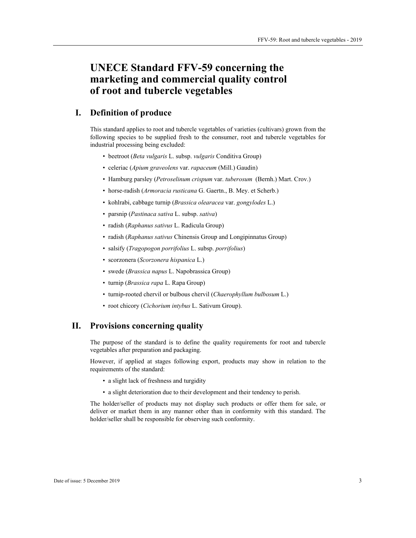# **UNECE Standard FFV-59 concerning the marketing and commercial quality control of root and tubercle vegetables**

# **I. Definition of produce**

This standard applies to root and tubercle vegetables of varieties (cultivars) grown from the following species to be supplied fresh to the consumer, root and tubercle vegetables for industrial processing being excluded:

- beetroot (*Beta vulgaris* L. subsp. *vulgaris* Conditiva Group)
- celeriac (*Apium graveolens* var. *rapaceum* (Mill.) Gaudin)
- Hamburg parsley (*Petroselinum crispum* var. *tuberosum* (Bernh.) Mart. Crov.)
- horse-radish (*Armoracia rusticana* G. Gaertn., B. Mey. et Scherb.)
- kohlrabi, cabbage turnip (*Brassica olearacea* var. *gongylodes* L.)
- parsnip (*Pastinaca sativa* L. subsp. *sativa*)
- radish (*Raphanus sativus* L. Radicula Group)
- radish (*Raphanus sativus* Chinensis Group and Longipinnatus Group)
- salsify (*Tragopogon porrifolius* L. subsp. *porrifolius*)
- scorzonera (*Scorzonera hispanica* L.)
- swede (*Brassica napus* L. Napobrassica Group)
- turnip (*Brassica rapa* L. Rapa Group)
- turnip-rooted chervil or bulbous chervil (*Chaerophyllum bulbosum* L.)
- root chicory (*Cichorium intybus* L. Sativum Group).

### **II. Provisions concerning quality**

The purpose of the standard is to define the quality requirements for root and tubercle vegetables after preparation and packaging.

However, if applied at stages following export, products may show in relation to the requirements of the standard:

- a slight lack of freshness and turgidity
- a slight deterioration due to their development and their tendency to perish.

The holder/seller of products may not display such products or offer them for sale, or deliver or market them in any manner other than in conformity with this standard. The holder/seller shall be responsible for observing such conformity.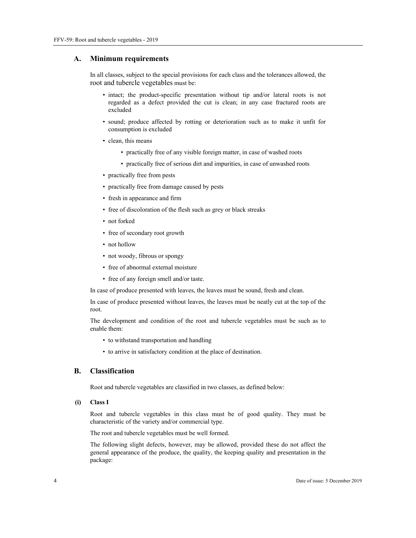#### **A. Minimum requirements**

In all classes, subject to the special provisions for each class and the tolerances allowed, the root and tubercle vegetables must be:

- intact; the product-specific presentation without tip and/or lateral roots is not regarded as a defect provided the cut is clean; in any case fractured roots are excluded
- sound; produce affected by rotting or deterioration such as to make it unfit for consumption is excluded
- clean, this means
	- practically free of any visible foreign matter, in case of washed roots
	- practically free of serious dirt and impurities, in case of unwashed roots
- practically free from pests
- practically free from damage caused by pests
- fresh in appearance and firm
- free of discoloration of the flesh such as grey or black streaks
- not forked
- free of secondary root growth
- not hollow
- not woody, fibrous or spongy
- free of abnormal external moisture
- free of any foreign smell and/or taste.

In case of produce presented with leaves, the leaves must be sound, fresh and clean.

In case of produce presented without leaves, the leaves must be neatly cut at the top of the root.

The development and condition of the root and tubercle vegetables must be such as to enable them:

- to withstand transportation and handling
- to arrive in satisfactory condition at the place of destination.

#### **B. Classification**

Root and tubercle vegetables are classified in two classes, as defined below:

 **(i) Class I** 

Root and tubercle vegetables in this class must be of good quality. They must be characteristic of the variety and/or commercial type.

The root and tubercle vegetables must be well formed.

The following slight defects, however, may be allowed, provided these do not affect the general appearance of the produce, the quality, the keeping quality and presentation in the package: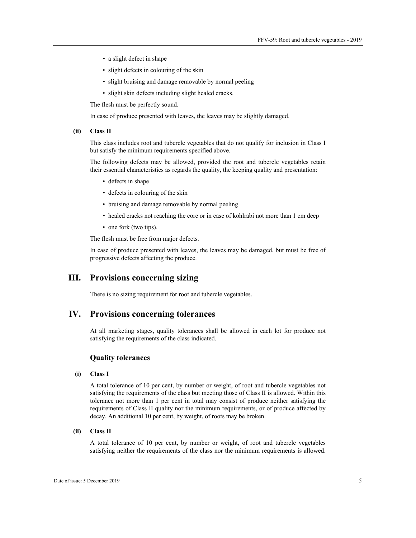- a slight defect in shape
- slight defects in colouring of the skin
- slight bruising and damage removable by normal peeling
- slight skin defects including slight healed cracks.

The flesh must be perfectly sound.

In case of produce presented with leaves, the leaves may be slightly damaged.

#### **(ii) Class II**

This class includes root and tubercle vegetables that do not qualify for inclusion in Class I but satisfy the minimum requirements specified above.

The following defects may be allowed, provided the root and tubercle vegetables retain their essential characteristics as regards the quality, the keeping quality and presentation:

- defects in shape
- defects in colouring of the skin
- bruising and damage removable by normal peeling
- healed cracks not reaching the core or in case of kohlrabi not more than 1 cm deep
- one fork (two tips).

The flesh must be free from major defects.

In case of produce presented with leaves, the leaves may be damaged, but must be free of progressive defects affecting the produce.

## **III. Provisions concerning sizing**

There is no sizing requirement for root and tubercle vegetables.

#### **IV. Provisions concerning tolerances**

At all marketing stages, quality tolerances shall be allowed in each lot for produce not satisfying the requirements of the class indicated.

#### **Quality tolerances**

#### **(i) Class I**

A total tolerance of 10 per cent, by number or weight, of root and tubercle vegetables not satisfying the requirements of the class but meeting those of Class II is allowed. Within this tolerance not more than 1 per cent in total may consist of produce neither satisfying the requirements of Class II quality nor the minimum requirements, or of produce affected by decay. An additional 10 per cent, by weight, of roots may be broken.

#### **(ii) Class II**

A total tolerance of 10 per cent, by number or weight, of root and tubercle vegetables satisfying neither the requirements of the class nor the minimum requirements is allowed.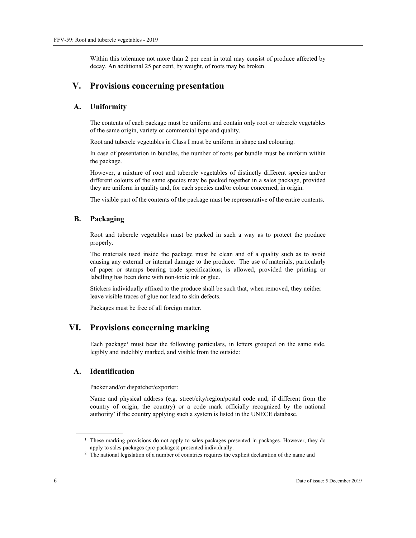Within this tolerance not more than 2 per cent in total may consist of produce affected by decay. An additional 25 per cent, by weight, of roots may be broken.

# **V. Provisions concerning presentation**

#### **A. Uniformity**

The contents of each package must be uniform and contain only root or tubercle vegetables of the same origin, variety or commercial type and quality.

Root and tubercle vegetables in Class I must be uniform in shape and colouring.

In case of presentation in bundles, the number of roots per bundle must be uniform within the package.

However, a mixture of root and tubercle vegetables of distinctly different species and/or different colours of the same species may be packed together in a sales package, provided they are uniform in quality and, for each species and/or colour concerned, in origin.

The visible part of the contents of the package must be representative of the entire contents.

#### **B. Packaging**

Root and tubercle vegetables must be packed in such a way as to protect the produce properly.

The materials used inside the package must be clean and of a quality such as to avoid causing any external or internal damage to the produce. The use of materials, particularly of paper or stamps bearing trade specifications, is allowed, provided the printing or labelling has been done with non-toxic ink or glue.

Stickers individually affixed to the produce shall be such that, when removed, they neither leave visible traces of glue nor lead to skin defects.

Packages must be free of all foreign matter.

# **VI. Provisions concerning marking**

Each package<sup>1</sup> must bear the following particulars, in letters grouped on the same side, legibly and indelibly marked, and visible from the outside:

#### **A. Identification**

Packer and/or dispatcher/exporter:

Name and physical address (e.g. street/city/region/postal code and, if different from the country of origin, the country) or a code mark officially recognized by the national authority<sup>2</sup> if the country applying such a system is listed in the UNECE database.

 $\overline{a}$ 

<sup>&</sup>lt;sup>1</sup> These marking provisions do not apply to sales packages presented in packages. However, they do apply to sales packages (pre-packages) presented individually. 2

<sup>&</sup>lt;sup>2</sup> The national legislation of a number of countries requires the explicit declaration of the name and